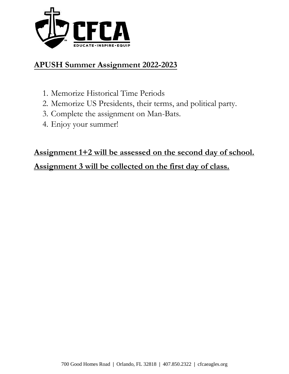

## **APUSH Summer Assignment 2022-2023**

- 1. Memorize Historical Time Periods
- 2. Memorize US Presidents, their terms, and political party.
- 3. Complete the assignment on Man-Bats.
- 4. Enjoy your summer!

## **Assignment 1+2 will be assessed on the second day of school.**

### **Assignment 3 will be collected on the first day of class.**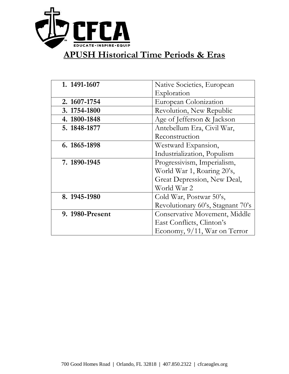

# **APUSH Historical Time Periods & Eras**

| 1. 1491-1607    | Native Societies, European        |  |  |
|-----------------|-----------------------------------|--|--|
|                 | Exploration                       |  |  |
| 2. 1607-1754    | European Colonization             |  |  |
| 3. 1754-1800    | Revolution, New Republic          |  |  |
| 4. 1800-1848    | Age of Jefferson & Jackson        |  |  |
| 5. 1848-1877    | Antebellum Era, Civil War,        |  |  |
|                 | Reconstruction                    |  |  |
| 6. 1865-1898    | Westward Expansion,               |  |  |
|                 | Industrialization, Populism       |  |  |
| 7. 1890-1945    | Progressivism, Imperialism,       |  |  |
|                 | World War 1, Roaring 20's,        |  |  |
|                 | Great Depression, New Deal,       |  |  |
|                 | World War 2                       |  |  |
| 8. 1945-1980    | Cold War, Postwar 50's,           |  |  |
|                 | Revolutionary 60's, Stagnant 70's |  |  |
| 9. 1980-Present | Conservative Movement, Middle     |  |  |
|                 | East Conflicts, Clinton's         |  |  |
|                 | Economy, 9/11, War on Terror      |  |  |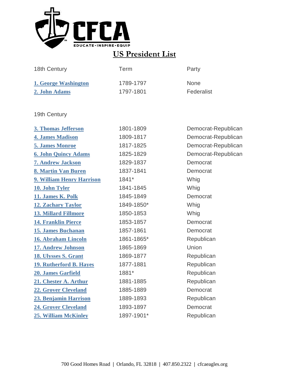

## **US President List**

| 18th Century         | Term      | Party       |
|----------------------|-----------|-------------|
| 1. George Washington | 1789-1797 | <b>None</b> |
| 2. John Adams        | 1797-1801 | Federalist  |

19th Century

| 3. Thomas Jefferson            | 1801-1809  | Democrat-Republican |
|--------------------------------|------------|---------------------|
| <b>4. James Madison</b>        | 1809-1817  | Democrat-Republican |
| <b>5. James Monroe</b>         | 1817-1825  | Democrat-Republican |
| <b>6. John Quincy Adams</b>    | 1825-1829  | Democrat-Republican |
| <b>7. Andrew Jackson</b>       | 1829-1837  | Democrat            |
| 8. Martin Van Buren            | 1837-1841  | Democrat            |
| 9. William Henry Harrison      | 1841*      | Whig                |
| 10. John Tyler                 | 1841-1845  | Whig                |
| 11. James K. Polk              | 1845-1849  | Democrat            |
| <b>12. Zachary Taylor</b>      | 1849-1850* | Whig                |
| <b>13. Millard Fillmore</b>    | 1850-1853  | Whig                |
| <b>14. Franklin Pierce</b>     | 1853-1857  | Democrat            |
| <b>15. James Buchanan</b>      | 1857-1861  | Democrat            |
| 16. Abraham Lincoln            | 1861-1865* | Republican          |
| 17. Andrew Johnson             | 1865-1869  | Union               |
| <b>18. Ulysses S. Grant</b>    | 1869-1877  | Republican          |
| <b>19. Rutherford B. Hayes</b> | 1877-1881  | Republican          |
| 20. James Garfield             | 1881*      | Republican          |
| 21. Chester A. Arthur          | 1881-1885  | Republican          |
| <b>22. Grover Cleveland</b>    | 1885-1889  | Democrat            |
| 23. Benjamin Harrison          | 1889-1893  | Republican          |
| <b>24. Grover Cleveland</b>    | 1893-1897  | Democrat            |
| <b>25. William McKinley</b>    | 1897-1901* | Republican          |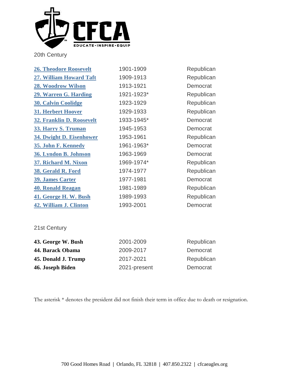

20th Century

| <b>26. Theodore Roosevelt</b>    | 1901-1909  | Republican |
|----------------------------------|------------|------------|
| 27. William Howard Taft          | 1909-1913  | Republican |
| 28. Woodrow Wilson               | 1913-1921  | Democrat   |
| 29. Warren G. Harding            | 1921-1923* | Republican |
| <b>30. Calvin Coolidge</b>       | 1923-1929  | Republican |
| 31. Herbert Hoover               | 1929-1933  | Republican |
| <b>32. Franklin D. Roosevelt</b> | 1933-1945* | Democrat   |
| 33. Harry S. Truman              | 1945-1953  | Democrat   |
| <b>34. Dwight D. Eisenhower</b>  | 1953-1961  | Republican |
| 35. John F. Kennedy              | 1961-1963* | Democrat   |
| 36. Lyndon B. Johnson            | 1963-1969  | Democrat   |
| 37. Richard M. Nixon             | 1969-1974* | Republican |
| 38. Gerald R. Ford               | 1974-1977  | Republican |
| <b>39. James Carter</b>          | 1977-1981  | Democrat   |
| <b>40. Ronald Reagan</b>         | 1981-1989  | Republican |
| 41. George H. W. Bush            | 1989-1993  | Republican |
| 42. William J. Clinton           | 1993-2001  | Democrat   |

#### 21st Century

| 43. George W. Bush  | 2001-2009    | Republican |
|---------------------|--------------|------------|
| 44. Barack Obama    | 2009-2017    | Democrat   |
| 45. Donald J. Trump | 2017-2021    | Republican |
| 46. Joseph Biden    | 2021-present | Democrat   |

The asterisk \* denotes the president did not finish their term in office due to death or resignation.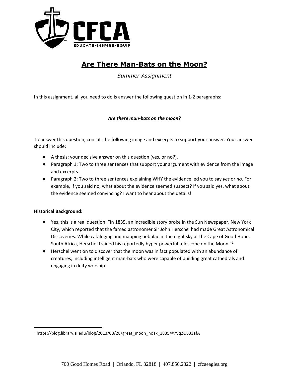

### **Are There Man-Bats on the Moon?**

*Summer Assignment*

In this assignment, all you need to do is answer the following question in 1-2 paragraphs:

#### *Are there man-bats on the moon?*

To answer this question, consult the following image and excerpts to support your answer. Your answer should include:

- A thesis: your decisive answer on this question (yes, or no?).
- Paragraph 1: Two to three sentences that support your argument with evidence from the image and excerpts.
- Paragraph 2: Two to three sentences explaining WHY the evidence led you to say *yes* or *no*. For example, if you said no, what about the evidence seemed suspect? If you said yes, what about the evidence seemed convincing? I want to hear about the details!

#### **Historical Background:**

l

- Yes, this is a real question. "In 1835, an incredible story broke in the Sun Newspaper, New York City, which reported that the famed astronomer Sir John Herschel had made Great Astronomical Discoveries. While cataloging and mapping nebulae in the night sky at the Cape of Good Hope, South Africa, Herschel trained his reportedly hyper powerful telescope on the Moon."<sup>1</sup>
- Herschel went on to discover that the moon was in fact populated with an abundance of creatures, including intelligent man-bats who were capable of building great cathedrals and engaging in deity worship.

<sup>1</sup> https://blog.library.si.edu/blog/2013/08/28/great\_moon\_hoax\_1835/#.YJqZQS33afA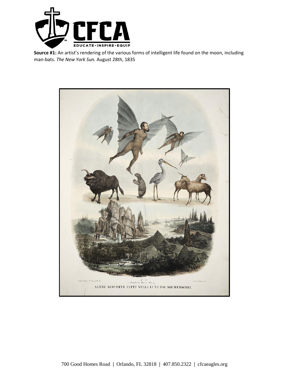

**Source #1:** An artist's rendering of the various forms of intelligent life found on the moon, including man-bats. *The New York Sun.* August 28th, 1835